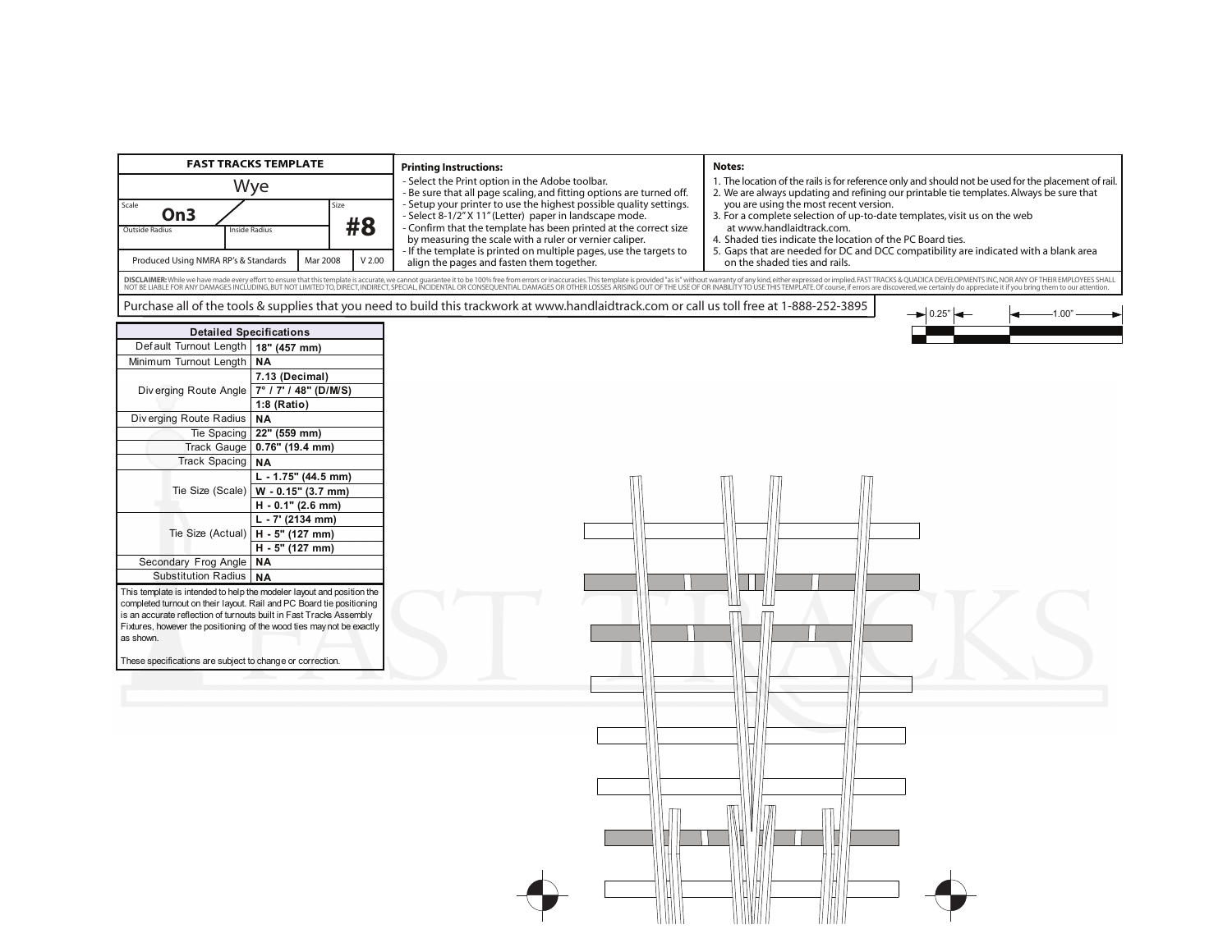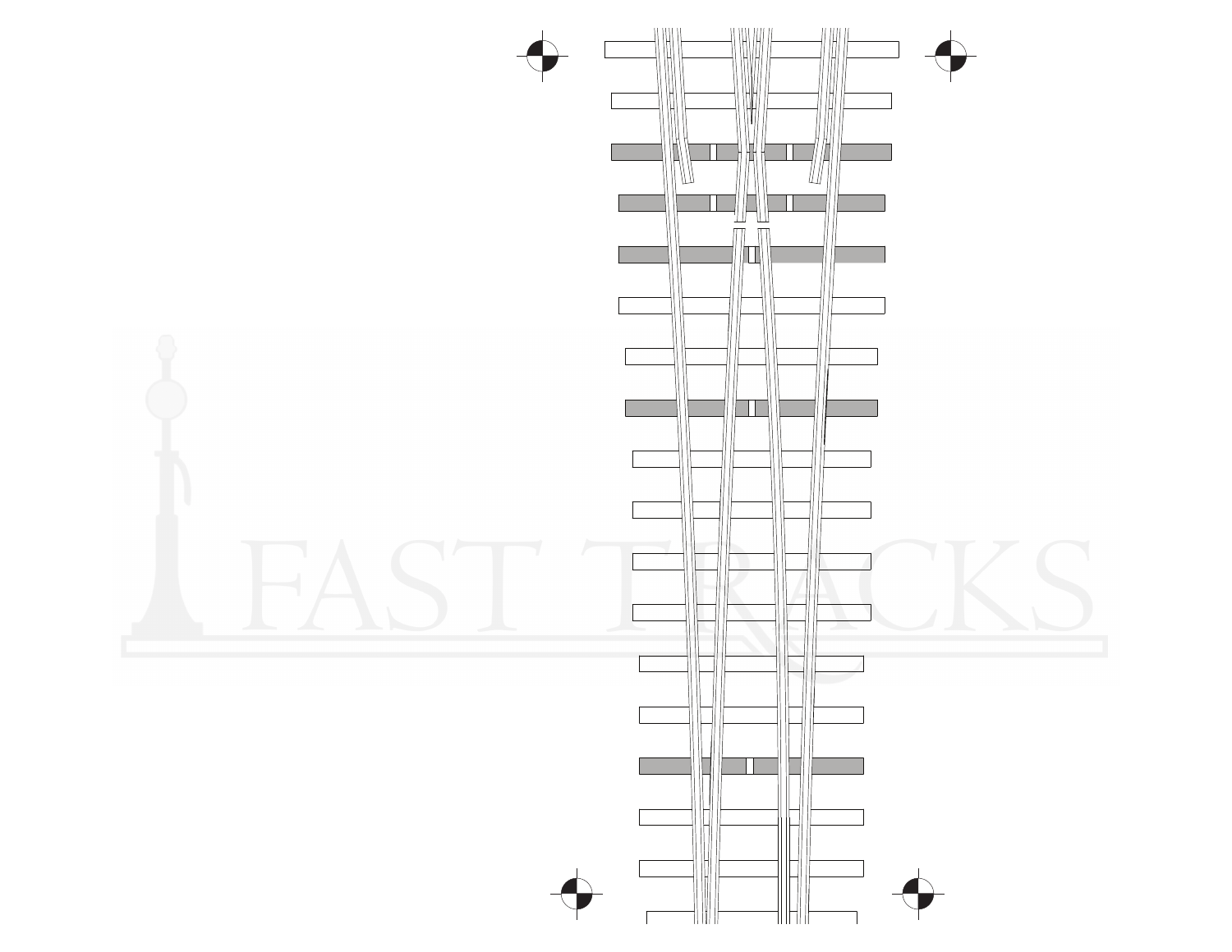